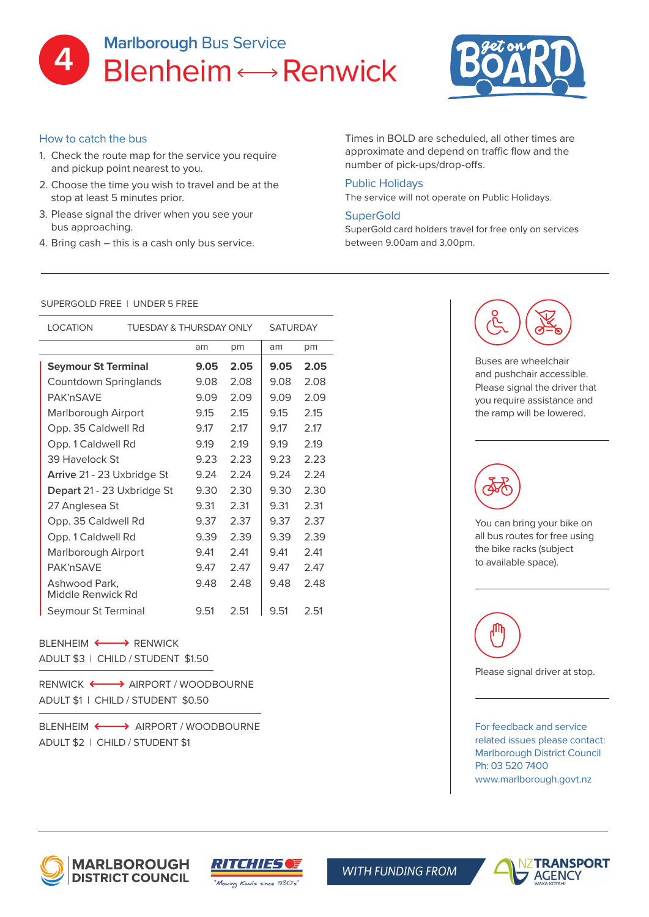



## How to catch the bus

- 1. Check the route map for the service you require and pickup point nearest to you.
- 2. Choose the time you wish to travel and be at the stop at least 5 minutes prior.
- 3. Please signal the driver when you see your bus approaching.
- 4. Bring cash this is a cash only bus service.

Times in BOLD are scheduled, all other times are approximate and depend on traffic flow and the number of pick-ups/drop-offs.

### Public Holidays

The service will not operate on Public Holidays.

### **SuperGold**

SuperGold card holders travel for free only on services between 9.00am and 3.00pm.

#### SUPERGOLD FREE | UNDER 5 FREE

| <b>LOCATION</b>                    | TUESDAY & THURSDAY ONLY |      | <b>SATURDAY</b> |      |      |
|------------------------------------|-------------------------|------|-----------------|------|------|
|                                    |                         | am   | pm              | am   | pm   |
| <b>Seymour St Terminal</b>         |                         | 9.05 | 2.05            | 9.05 | 2.05 |
| Countdown Springlands              |                         | 9.08 | 2.08            | 9.08 | 2.08 |
| PAK'nSAVF                          |                         | 9.09 | 2.09            | 9.09 | 2.09 |
| Marlborough Airport                |                         | 9.15 | 2.15            | 9.15 | 2.15 |
| Opp. 35 Caldwell Rd                |                         | 9.17 | 2.17            | 9.17 | 2.17 |
| Opp. 1 Caldwell Rd                 |                         | 9.19 | 2.19            | 9.19 | 2.19 |
| 39 Havelock St                     |                         | 9.23 | 2.23            | 9.23 | 2.23 |
| Arrive 21 - 23 Uxbridge St         |                         | 9.24 | 2.24            | 9.24 | 2.24 |
| Depart 21 - 23 Uxbridge St         |                         | 9.30 | 2.30            | 9.30 | 2.30 |
| 27 Anglesea St                     |                         | 9.31 | 2.31            | 9.31 | 2.31 |
| Opp. 35 Caldwell Rd                |                         | 9.37 | 2.37            | 9.37 | 2.37 |
| Opp. 1 Caldwell Rd                 |                         | 9.39 | 2.39            | 9.39 | 2.39 |
| Marlborough Airport                |                         | 9.41 | 2.41            | 9.41 | 2.41 |
| PAK'nSAVF                          |                         | 9.47 | 2.47            | 9.47 | 2.47 |
| Ashwood Park,<br>Middle Renwick Rd |                         | 9.48 | 2.48            | 9.48 | 2.48 |
| Seymour St Terminal                |                         | 9.51 | 2.51            | 9.51 | 2.51 |

# $B$ I FNHFIM  $\longleftrightarrow$  RFNWICK

ADULT \$3 | CHILD / STUDENT \$1.50

ADULT \$1 | CHILD / STUDENT \$0.50 RENWICK  $\longleftrightarrow$  AIRPORT / WOODBOURNE

BLENHEIM  $\longleftrightarrow$  AIRPORT / WOODBOURNE ADULT \$2 | CHILD / STUDENT \$1



Buses are wheelchair and pushchair accessible. Please signal the driver that you require assistance and the ramp will be lowered.



You can bring your bike on all bus routes for free using the bike racks (subject to available space).



Please signal driver at stop.

For feedback and service related issues please contact: Marlborough District Council Ph: 03 520 7400 www.marlborough.govt.nz





**WITH FUNDING FROM**